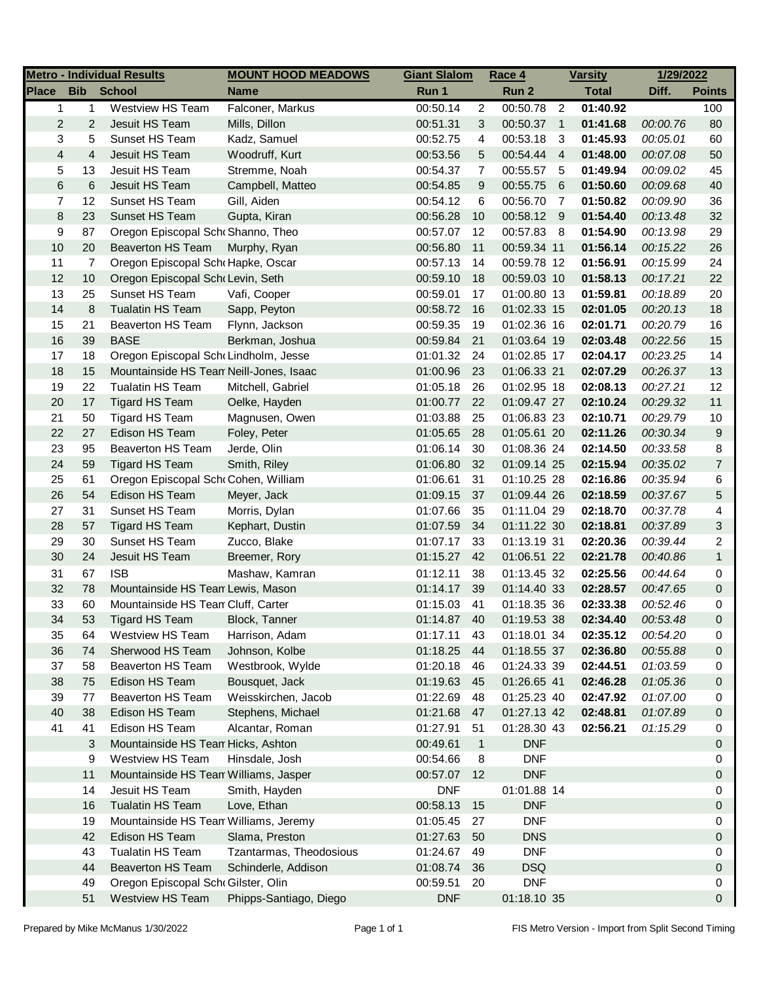| <b>Metro - Individual Results</b> |                |                                         | <b>MOUNT HOOD MEADOWS</b>         | <b>Giant Slalom</b> |                | Race 4        |                | <b>Varsity</b> | 1/29/2022 |                |
|-----------------------------------|----------------|-----------------------------------------|-----------------------------------|---------------------|----------------|---------------|----------------|----------------|-----------|----------------|
| <b>Place</b>                      | <b>Bib</b>     | <b>School</b>                           | <b>Name</b>                       | Run 1               |                | Run 2         |                | <b>Total</b>   | Diff.     | <b>Points</b>  |
| $\mathbf{1}$                      | $\mathbf{1}$   | <b>Westview HS Team</b>                 | Falconer, Markus                  | 00:50.14            | $\overline{2}$ | 00:50.78      | $\overline{2}$ | 01:40.92       |           | 100            |
| $\overline{c}$                    | $\overline{2}$ | Jesuit HS Team                          | Mills, Dillon                     | 00:51.31            | 3              | 00:50.37      | $\overline{1}$ | 01:41.68       | 00:00.76  | 80             |
| 3                                 | 5              | Sunset HS Team                          | Kadz, Samuel                      | 00:52.75            | 4              | 00:53.18      | 3              | 01:45.93       | 00:05.01  | 60             |
| 4                                 | 4              | Jesuit HS Team                          | Woodruff, Kurt                    | 00:53.56            | 5              | 00:54.44      | $\overline{4}$ | 01:48.00       | 00:07.08  | 50             |
| 5                                 | 13             | Jesuit HS Team                          | Stremme, Noah                     | 00:54.37            | 7              | 00:55.57      | - 5            | 01:49.94       | 00:09.02  | 45             |
| 6                                 | $\,$ 6         | Jesuit HS Team                          | Campbell, Matteo                  | 00:54.85            | 9              | 00:55.75      | 6              | 01:50.60       | 00:09.68  | 40             |
| 7                                 | 12             | Sunset HS Team                          | Gill, Aiden                       | 00:54.12            | 6              | 00:56.70      | 7              | 01:50.82       | 00:09.90  | 36             |
| 8                                 | 23             | Sunset HS Team                          | Gupta, Kiran                      | 00:56.28            | 10             | 00:58.12 9    |                | 01:54.40       | 00:13.48  | 32             |
| 9                                 | 87             | Oregon Episcopal Scho Shanno, Theo      |                                   | 00:57.07            | 12             | 00:57.83 8    |                | 01:54.90       | 00:13.98  | 29             |
| 10                                | 20             | <b>Beaverton HS Team</b>                | Murphy, Ryan                      | 00:56.80            | 11             | 00:59.34 11   |                | 01:56.14       | 00:15.22  | 26             |
| 11                                | 7              | Oregon Episcopal Scho Hapke, Oscar      |                                   | 00:57.13            | 14             | 00:59.78 12   |                | 01:56.91       | 00:15.99  | 24             |
| 12                                | $10$           | Oregon Episcopal SchoLevin, Seth        |                                   | 00:59.10            | 18             | 00:59.03 10   |                | 01:58.13       | 00:17.21  | 22             |
| 13                                | 25             | Sunset HS Team                          | Vafi, Cooper                      | 00:59.01            | 17             | 01:00.80 13   |                | 01:59.81       | 00:18.89  | 20             |
| 14                                | 8              | <b>Tualatin HS Team</b>                 | Sapp, Peyton                      | 00:58.72            | 16             | 01:02.33 15   |                | 02:01.05       | 00:20.13  | 18             |
| 15                                | 21             | <b>Beaverton HS Team</b>                | Flynn, Jackson                    | 00:59.35            | 19             | 01:02.36 16   |                | 02:01.71       | 00:20.79  | 16             |
| 16                                | 39             | <b>BASE</b>                             | Berkman, Joshua                   | 00:59.84            | 21             | 01:03.64 19   |                | 02:03.48       | 00:22.56  | 15             |
| 17                                | 18             | Oregon Episcopal Sch Lindholm, Jesse    |                                   | 01:01.32            | 24             | 01:02.85 17   |                | 02:04.17       | 00:23.25  | 14             |
| 18                                | 15             | Mountainside HS Tean Neill-Jones, Isaac |                                   | 01:00.96            | 23             | 01:06.33 21   |                | 02:07.29       | 00:26.37  | 13             |
| 19                                | 22             | Tualatin HS Team                        | Mitchell, Gabriel                 | 01:05.18            | 26             | 01:02.95 18   |                | 02:08.13       | 00:27.21  | 12             |
| 20                                | 17             | Tigard HS Team                          | Oelke, Hayden                     | 01:00.77            | 22             | 01:09.47 27   |                | 02:10.24       | 00:29.32  | 11             |
| 21                                | 50             | Tigard HS Team                          | Magnusen, Owen                    | 01:03.88            | 25             | 01:06.83 23   |                | 02:10.71       | 00:29.79  | 10             |
| 22                                | 27             | Edison HS Team                          | Foley, Peter                      | 01:05.65            | 28             | 01:05.61 20   |                | 02:11.26       | 00:30.34  | 9              |
| 23                                | 95             | <b>Beaverton HS Team</b>                | Jerde, Olin                       | 01:06.14            | 30             | 01:08.36 24   |                | 02:14.50       | 00:33.58  | 8              |
| 24                                | 59             | <b>Tigard HS Team</b>                   | Smith, Riley                      | 01:06.80            | 32             | 01:09.14 25   |                | 02:15.94       | 00:35.02  | $\overline{7}$ |
| 25                                | 61             | Oregon Episcopal SchoCohen, William     |                                   | 01:06.61            | 31             | 01:10.25 28   |                | 02:16.86       | 00:35.94  | 6              |
| 26                                | 54             | Edison HS Team                          | Meyer, Jack                       | 01:09.15            | 37             | 01:09.44 26   |                | 02:18.59       | 00:37.67  | 5              |
| 27                                | 31             | Sunset HS Team                          | Morris, Dylan                     | 01:07.66            | 35             | 01:11.04 29   |                | 02:18.70       | 00:37.78  | 4              |
| 28                                | 57             | <b>Tigard HS Team</b>                   | Kephart, Dustin                   | 01:07.59            | 34             | 01:11.22 30   |                | 02:18.81       | 00:37.89  | 3              |
| 29                                | 30             | Sunset HS Team                          | Zucco, Blake                      | 01:07.17            | 33             | 01:13.19 31   |                | 02:20.36       | 00:39.44  | 2              |
| 30                                | 24             | Jesuit HS Team                          | Breemer, Rory                     | 01:15.27            | 42             | 01:06.51 22   |                | 02:21.78       | 00:40.86  | $\mathbf{1}$   |
| 31                                | 67             | <b>ISB</b>                              | Mashaw, Kamran                    | 01:12.11            | 38             | 01:13.45 32   |                | 02:25.56       | 00:44.64  | 0              |
| 32                                | 78             |                                         | Mountainside HS Tean Lewis, Mason |                     | 39             | 01:14.40 33   |                | 02:28.57       | 00:47.65  | 0              |
| 33                                | 60             | Mountainside HS Tean Cluff, Carter      |                                   | 01:15.03            | 41             | 01:18.35 36   |                | 02:33.38       | 00:52.46  | 0              |
| 34                                | 53             | Tigard HS Team                          | Block, Tanner                     | 01:14.87 40         |                | $01:19.53$ 38 |                | 02:34.40       | 00:53.48  | $\Omega$       |
| 35                                | 64             | <b>Westview HS Team</b>                 | Harrison, Adam                    | 01:17.11            | 43             | 01:18.01 34   |                | 02:35.12       | 00:54.20  | 0              |
| 36                                | 74             | Sherwood HS Team                        | Johnson, Kolbe                    | 01:18.25            | 44             | 01:18.55 37   |                | 02:36.80       | 00:55.88  | 0              |
| 37                                | 58             | <b>Beaverton HS Team</b>                | Westbrook, Wylde                  | 01:20.18            | 46             | 01:24.33 39   |                | 02:44.51       | 01:03.59  | 0              |
| 38                                | 75             | Edison HS Team                          | Bousquet, Jack                    | 01:19.63            | 45             | 01:26.65 41   |                | 02:46.28       | 01:05.36  | 0              |
| 39                                | 77             | Beaverton HS Team                       | Weisskirchen, Jacob               | 01:22.69            | 48             | 01:25.23 40   |                | 02:47.92       | 01:07.00  | 0              |
| 40                                | 38             | Edison HS Team                          | Stephens, Michael                 | 01:21.68            | 47             | 01:27.13 42   |                | 02:48.81       | 01:07.89  | 0              |
| 41                                | 41             | Edison HS Team                          | Alcantar, Roman                   | 01:27.91            | 51             | 01:28.30 43   |                | 02:56.21       | 01:15.29  | 0              |
|                                   | 3              | Mountainside HS Tean Hicks, Ashton      |                                   | 00:49.61            | $\mathbf{1}$   | <b>DNF</b>    |                |                |           | 0              |
|                                   | 9              | Westview HS Team                        | Hinsdale, Josh                    | 00:54.66            | 8              | <b>DNF</b>    |                |                |           | 0              |
|                                   | 11             | Mountainside HS Tean Williams, Jasper   |                                   | 00:57.07            | 12             | <b>DNF</b>    |                |                |           | 0              |
|                                   | 14             | Jesuit HS Team                          | Smith, Hayden                     | <b>DNF</b>          |                | 01:01.88 14   |                |                |           | 0              |
|                                   | 16             | <b>Tualatin HS Team</b>                 | Love, Ethan                       | 00:58.13            | 15             | <b>DNF</b>    |                |                |           | 0              |
|                                   | 19             | Mountainside HS Tean Williams, Jeremy   |                                   | 01:05.45            | 27             | <b>DNF</b>    |                |                |           | 0              |
|                                   | 42             | Edison HS Team                          | Slama, Preston                    | 01:27.63            | 50             | <b>DNS</b>    |                |                |           | 0              |
|                                   | 43             | <b>Tualatin HS Team</b>                 | Tzantarmas, Theodosious           | 01:24.67            | 49             | <b>DNF</b>    |                |                |           | 0              |
|                                   | 44             | <b>Beaverton HS Team</b>                | Schinderle, Addison               | 01:08.74            | 36             | <b>DSQ</b>    |                |                |           | 0              |
|                                   | 49             | Oregon Episcopal SchoGilster, Olin      |                                   | 00:59.51            | 20             | <b>DNF</b>    |                |                |           | 0              |
|                                   | 51             | <b>Westview HS Team</b>                 | Phipps-Santiago, Diego            | <b>DNF</b>          |                | 01:18.10 35   |                |                |           | 0              |